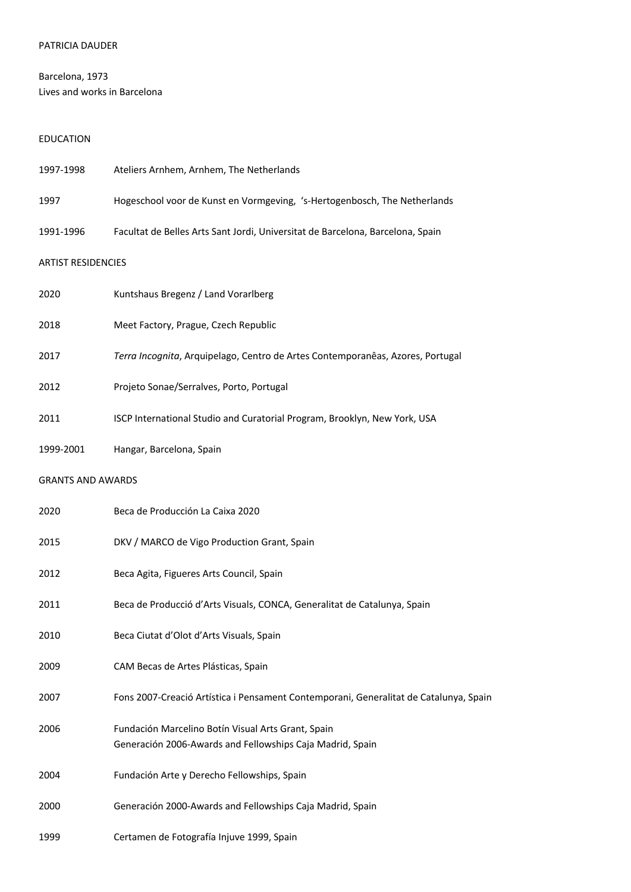### PATRICIA DAUDER

# Barcelona, 1973 Lives and works in Barcelona

# EDUCATION

| 1997-1998                 | Ateliers Arnhem, Arnhem, The Netherlands                                                                        |
|---------------------------|-----------------------------------------------------------------------------------------------------------------|
| 1997                      | Hogeschool voor de Kunst en Vormgeving, 's-Hertogenbosch, The Netherlands                                       |
| 1991-1996                 | Facultat de Belles Arts Sant Jordi, Universitat de Barcelona, Barcelona, Spain                                  |
| <b>ARTIST RESIDENCIES</b> |                                                                                                                 |
| 2020                      | Kuntshaus Bregenz / Land Vorarlberg                                                                             |
| 2018                      | Meet Factory, Prague, Czech Republic                                                                            |
| 2017                      | Terra Incognita, Arquipelago, Centro de Artes Contemporanêas, Azores, Portugal                                  |
| 2012                      | Projeto Sonae/Serralves, Porto, Portugal                                                                        |
| 2011                      | ISCP International Studio and Curatorial Program, Brooklyn, New York, USA                                       |
| 1999-2001                 | Hangar, Barcelona, Spain                                                                                        |
| <b>GRANTS AND AWARDS</b>  |                                                                                                                 |
| 2020                      | Beca de Producción La Caixa 2020                                                                                |
| 2015                      | DKV / MARCO de Vigo Production Grant, Spain                                                                     |
| 2012                      | Beca Agita, Figueres Arts Council, Spain                                                                        |
| 2011                      | Beca de Producció d'Arts Visuals, CONCA, Generalitat de Catalunya, Spain                                        |
| 2010                      | Beca Ciutat d'Olot d'Arts Visuals, Spain                                                                        |
| 2009                      | CAM Becas de Artes Plásticas, Spain                                                                             |
| 2007                      | Fons 2007-Creació Artística i Pensament Contemporani, Generalitat de Catalunya, Spain                           |
| 2006                      | Fundación Marcelino Botín Visual Arts Grant, Spain<br>Generación 2006-Awards and Fellowships Caja Madrid, Spain |
| 2004                      | Fundación Arte y Derecho Fellowships, Spain                                                                     |
| 2000                      | Generación 2000-Awards and Fellowships Caja Madrid, Spain                                                       |
| 1999                      | Certamen de Fotografía Injuve 1999, Spain                                                                       |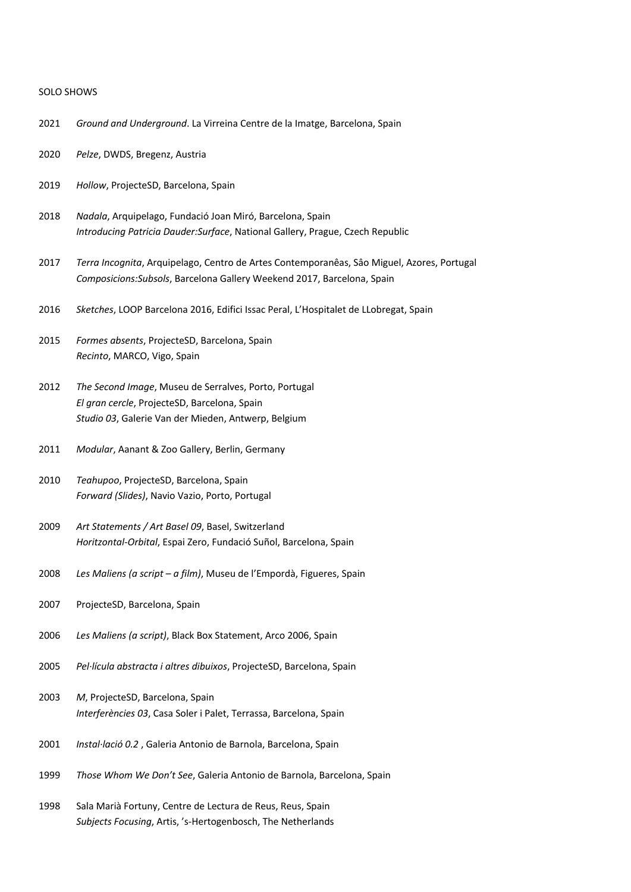#### SOLO SHOWS

- 2021 *Ground and Underground*. La Virreina Centre de la Imatge, Barcelona, Spain
- 2020 *Pelze*, DWDS, Bregenz, Austria
- 2019 *Hollow*, ProjecteSD, Barcelona, Spain
- 2018 *Nadala*, Arquipelago, Fundació Joan Miró, Barcelona, Spain *Introducing Patricia Dauder:Surface*, National Gallery, Prague, Czech Republic
- 2017 *Terra Incognita*, Arquipelago, Centro de Artes Contemporanêas, Sâo Miguel, Azores, Portugal *Composicions:Subsols*, Barcelona Gallery Weekend 2017, Barcelona, Spain
- 2016 *Sketches*, LOOP Barcelona 2016, Edifici Issac Peral, L'Hospitalet de LLobregat, Spain
- 2015 *Formes absents*, ProjecteSD, Barcelona, Spain *Recinto*, MARCO, Vigo, Spain
- 2012 *The Second Image*, Museu de Serralves, Porto, Portugal *El gran cercle*, ProjecteSD, Barcelona, Spain *Studio 03*, Galerie Van der Mieden, Antwerp, Belgium
- 2011 *Modular*, Aanant & Zoo Gallery, Berlin, Germany
- 2010 *Teahupoo*, ProjecteSD, Barcelona, Spain *Forward (Slides)*, Navio Vazio, Porto, Portugal
- 2009 *Art Statements / Art Basel 09*, Basel, Switzerland *Horitzontal-Orbital*, Espai Zero, Fundació Suñol, Barcelona, Spain
- 2008 *Les Maliens (a script – a film)*, Museu de l'Empordà, Figueres, Spain
- 2007 ProjecteSD, Barcelona, Spain
- 2006 *Les Maliens (a script)*, Black Box Statement, Arco 2006, Spain
- 2005 *Pel·lícula abstracta i altres dibuixos*, ProjecteSD, Barcelona, Spain
- 2003 *M*, ProjecteSD, Barcelona, Spain *Interferències 03*, Casa Soler i Palet, Terrassa, Barcelona, Spain
- 2001 *Instal·lació 0.2* , Galeria Antonio de Barnola, Barcelona, Spain
- 1999 *Those Whom We Don't See*, Galeria Antonio de Barnola, Barcelona, Spain
- 1998 Sala Marià Fortuny, Centre de Lectura de Reus, Reus, Spain *Subjects Focusing*, Artis, 's-Hertogenbosch, The Netherlands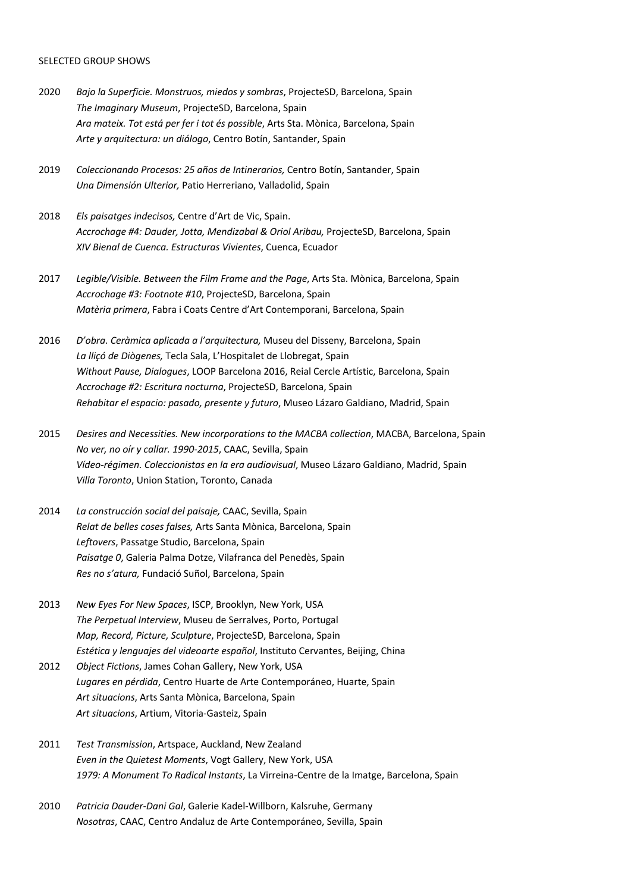#### SELECTED GROUP SHOWS

- 2020 *Bajo la Superficie. Monstruos, miedos y sombras*, ProjecteSD, Barcelona, Spain *The Imaginary Museum*, ProjecteSD, Barcelona, Spain *Ara mateix. Tot está per fer i tot és possible*, Arts Sta. Mònica, Barcelona, Spain *Arte y arquitectura: un diálogo*, Centro Botín, Santander, Spain
- 2019 *Coleccionando Procesos: 25 años de Intinerarios,* Centro Botín, Santander, Spain *Una Dimensión Ulterior,* Patio Herreriano, Valladolid, Spain
- 2018 *Els paisatges indecisos,* Centre d'Art de Vic, Spain. *Accrochage #4: Dauder, Jotta, Mendizabal & Oriol Aribau,* ProjecteSD, Barcelona, Spain *XIV Bienal de Cuenca. Estructuras Vivientes*, Cuenca, Ecuador
- 2017 *Legible/Visible. Between the Film Frame and the Page*, Arts Sta. Mònica, Barcelona, Spain *Accrochage #3: Footnote #10*, ProjecteSD, Barcelona, Spain *Matèria primera*, Fabra i Coats Centre d'Art Contemporani, Barcelona, Spain
- 2016 *D'obra. Ceràmica aplicada a l'arquitectura,* Museu del Disseny, Barcelona, Spain *La lliçó de Diògenes,* Tecla Sala, L'Hospitalet de Llobregat, Spain *Without Pause, Dialogues*, LOOP Barcelona 2016, Reial Cercle Artístic, Barcelona, Spain *Accrochage #2: Escritura nocturna*, ProjecteSD, Barcelona, Spain *Rehabitar el espacio: pasado, presente y futuro*, Museo Lázaro Galdiano, Madrid, Spain
- 2015 *Desires and Necessities. New incorporations to the MACBA collection*, MACBA, Barcelona, Spain *No ver, no oír y callar. 1990-2015*, CAAC, Sevilla, Spain *Vídeo-régimen. Coleccionistas en la era audiovisual*, Museo Lázaro Galdiano, Madrid, Spain *Villa Toronto*, Union Station, Toronto, Canada
- 2014 *La construcción social del paisaje,* CAAC, Sevilla, Spain *Relat de belles coses falses,* Arts Santa Mònica, Barcelona, Spain *Leftovers*, Passatge Studio, Barcelona, Spain *Paisatge 0*, Galeria Palma Dotze, Vilafranca del Penedès, Spain *Res no s'atura,* Fundació Suñol, Barcelona, Spain
- 2013 *New Eyes For New Spaces*, ISCP, Brooklyn, New York, USA *The Perpetual Interview*, Museu de Serralves, Porto, Portugal *Map, Record, Picture, Sculpture*, ProjecteSD, Barcelona, Spain *Estética y lenguajes del videoarte español*, Instituto Cervantes, Beijing, China
- 2012 *Object Fictions*, James Cohan Gallery, New York, USA *Lugares en pérdida*, Centro Huarte de Arte Contemporáneo, Huarte, Spain *Art situacions*, Arts Santa Mònica, Barcelona, Spain *Art situacions*, Artium, Vitoria-Gasteiz, Spain
- 2011 *Test Transmission*, Artspace, Auckland, New Zealand *Even in the Quietest Moments*, Vogt Gallery, New York, USA *1979: A Monument To Radical Instants*, La Virreina-Centre de la Imatge, Barcelona, Spain
- 2010 *Patricia Dauder-Dani Gal*, Galerie Kadel-Willborn, Kalsruhe, Germany *Nosotras*, CAAC, Centro Andaluz de Arte Contemporáneo, Sevilla, Spain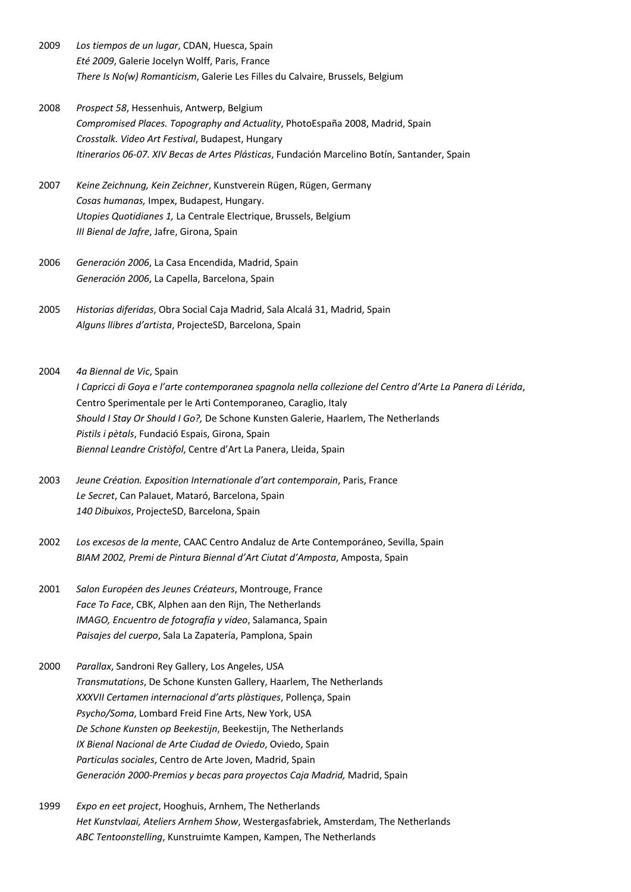- 2009 *Los tiempos de un lugar*, CDAN, Huesca, Spain *Eté 2009*, Galerie Jocelyn Wolff, Paris, France *There Is No(w) Romanticism*, Galerie Les Filles du Calvaire, Brussels, Belgium
- 2008 *Prospect 58*, Hessenhuis, Antwerp, Belgium *Compromised Places. Topography and Actuality*, PhotoEspaña 2008, Madrid, Spain *Crosstalk. Video Art Festival*, Budapest, Hungary *Itinerarios 06-07. XIV Becas de Artes Plásticas*, Fundación Marcelino Botín, Santander, Spain
- 2007 *Keine Zeichnung, Kein Zeichner*, Kunstverein Rügen, Rügen, Germany *Cosas humanas,* Impex, Budapest, Hungary. *Utopies Quotidianes 1,* La Centrale Electrique, Brussels, Belgium *III Bienal de Jafre*, Jafre, Girona, Spain
- 2006 *Generación 2006*, La Casa Encendida, Madrid, Spain *Generación 2006*, La Capella, Barcelona, Spain
- 2005 *Historias diferidas*, Obra Social Caja Madrid, Sala Alcalá 31, Madrid, Spain *Alguns llibres d'artista*, ProjecteSD, Barcelona, Spain
- 2004 *4a Biennal de Vic*, Spain *I Capricci di Goya e l'arte contemporanea spagnola nella collezione del Centro d'Arte La Panera di Lérida*, Centro Sperimentale per le Arti Contemporaneo, Caraglio, Italy *Should I Stay Or Should I Go?,* De Schone Kunsten Galerie, Haarlem, The Netherlands *Pistils i pètals*, Fundació Espais, Girona, Spain *Biennal Leandre Cristòfol*, Centre d'Art La Panera, Lleida, Spain
- 2003 *Jeune Création. Exposition Internationale d'art contemporain*, Paris, France *Le Secret*, Can Palauet, Mataró, Barcelona, Spain *140 Dibuixos*, ProjecteSD, Barcelona, Spain
- 2002 *Los excesos de la mente*, CAAC Centro Andaluz de Arte Contemporáneo, Sevilla, Spain *BIAM 2002, Premi de Pintura Biennal d'Art Ciutat d'Amposta*, Amposta, Spain
- 2001 *Salon Européen des Jeunes Créateurs*, Montrouge, France *Face To Face*, CBK, Alphen aan den Rijn, The Netherlands *IMAGO, Encuentro de fotografía y vídeo*, Salamanca, Spain *Paisajes del cuerpo*, Sala La Zapatería, Pamplona, Spain
- 2000 *Parallax*, Sandroni Rey Gallery, Los Angeles, USA *Transmutations*, De Schone Kunsten Gallery, Haarlem, The Netherlands *XXXVII Certamen internacional d'arts plàstiques*, Pollença, Spain *Psycho/Soma*, Lombard Freid Fine Arts, New York, USA *De Schone Kunsten op Beekestijn*, Beekestijn, The Netherlands *IX Bienal Nacional de Arte Ciudad de Oviedo*, Oviedo, Spain *Particulas sociales*, Centro de Arte Joven, Madrid, Spain *Generación 2000-Premios y becas para proyectos Caja Madrid,* Madrid, Spain
- 1999 *Expo en eet project*, Hooghuis, Arnhem, The Netherlands *Het Kunstvlaai, Ateliers Arnhem Show*, Westergasfabriek, Amsterdam, The Netherlands *ABC Tentoonstelling*, Kunstruimte Kampen, Kampen, The Netherlands